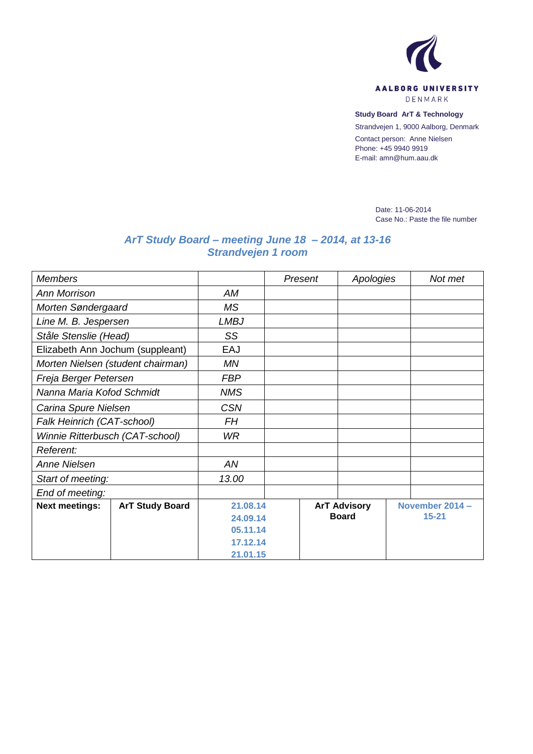

**Study Board ArT & Technology**

Strandvejen 1, 9000 Aalborg, Denmark

Contact person: Anne Nielsen Phone: +45 9940 9919 E-mail: amn@hum.aau.dk

> Date: 11-06-2014 Case No.: Paste the file number

## *ArT Study Board – meeting June 18 – 2014, at 13-16 Strandvejen 1 room*

| <b>Members</b>                    |                        |             | Present | Apologies           |  | Not met         |  |  |
|-----------------------------------|------------------------|-------------|---------|---------------------|--|-----------------|--|--|
| <b>Ann Morrison</b>               |                        | AM          |         |                     |  |                 |  |  |
| Morten Søndergaard                |                        | <b>MS</b>   |         |                     |  |                 |  |  |
| Line M. B. Jespersen              |                        | <b>LMBJ</b> |         |                     |  |                 |  |  |
| Ståle Stenslie (Head)             |                        | SS          |         |                     |  |                 |  |  |
| Elizabeth Ann Jochum (suppleant)  |                        | EAJ         |         |                     |  |                 |  |  |
| Morten Nielsen (student chairman) |                        | <b>MN</b>   |         |                     |  |                 |  |  |
| Freja Berger Petersen             |                        | <b>FBP</b>  |         |                     |  |                 |  |  |
| Nanna Maria Kofod Schmidt         |                        | <b>NMS</b>  |         |                     |  |                 |  |  |
| Carina Spure Nielsen              |                        | <b>CSN</b>  |         |                     |  |                 |  |  |
| Falk Heinrich (CAT-school)        |                        | <b>FH</b>   |         |                     |  |                 |  |  |
| Winnie Ritterbusch (CAT-school)   |                        | <b>WR</b>   |         |                     |  |                 |  |  |
| Referent:                         |                        |             |         |                     |  |                 |  |  |
| Anne Nielsen                      |                        | AN          |         |                     |  |                 |  |  |
| Start of meeting:                 |                        | 13.00       |         |                     |  |                 |  |  |
| End of meeting:                   |                        |             |         |                     |  |                 |  |  |
| <b>Next meetings:</b>             | <b>ArT Study Board</b> | 21.08.14    |         | <b>ArT Advisory</b> |  | November 2014 - |  |  |
|                                   |                        | 24.09.14    |         | <b>Board</b>        |  | $15 - 21$       |  |  |
|                                   |                        | 05.11.14    |         |                     |  |                 |  |  |
|                                   |                        | 17.12.14    |         |                     |  |                 |  |  |
|                                   |                        | 21.01.15    |         |                     |  |                 |  |  |